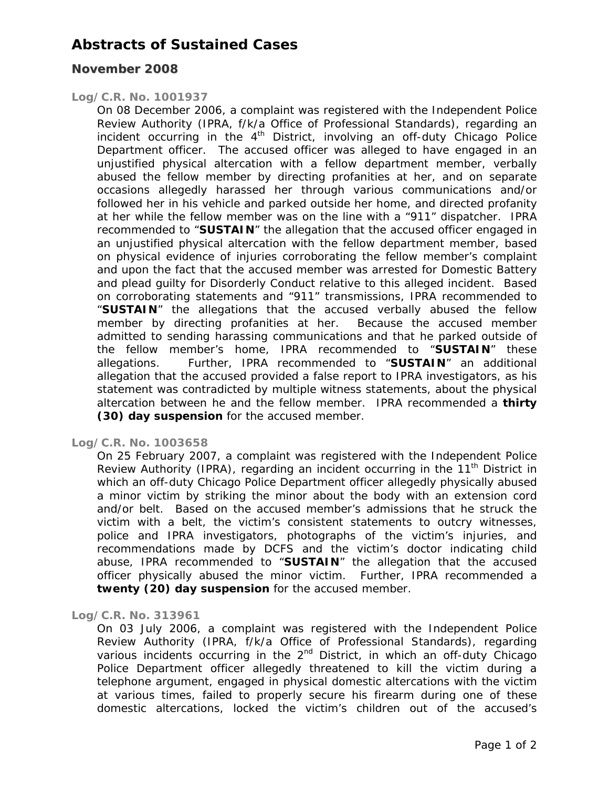## **Abstracts of Sustained Cases**

### **November 2008**

#### *Log/C.R. No. 1001937*

On 08 December 2006, a complaint was registered with the Independent Police Review Authority (IPRA, f/k/a Office of Professional Standards), regarding an incident occurring in the  $4<sup>th</sup>$  District, involving an off-duty Chicago Police Department officer. The accused officer was alleged to have engaged in an unjustified physical altercation with a fellow department member, verbally abused the fellow member by directing profanities at her, and on separate occasions allegedly harassed her through various communications and/or followed her in his vehicle and parked outside her home, and directed profanity at her while the fellow member was on the line with a "911" dispatcher. IPRA recommended to "**SUSTAIN**" the allegation that the accused officer engaged in an unjustified physical altercation with the fellow department member, based on physical evidence of injuries corroborating the fellow member's complaint and upon the fact that the accused member was arrested for Domestic Battery and plead guilty for Disorderly Conduct relative to this alleged incident. Based on corroborating statements and "911" transmissions, IPRA recommended to "**SUSTAIN**" the allegations that the accused verbally abused the fellow member by directing profanities at her. Because the accused member admitted to sending harassing communications and that he parked outside of the fellow member's home, IPRA recommended to "**SUSTAIN**" these allegations. Further, IPRA recommended to "**SUSTAIN**" an additional allegation that the accused provided a false report to IPRA investigators, as his statement was contradicted by multiple witness statements, about the physical altercation between he and the fellow member. IPRA recommended a **thirty (30) day suspension** for the accused member.

#### *Log/C.R. No. 1003658*

On 25 February 2007, a complaint was registered with the Independent Police Review Authority (IPRA), regarding an incident occurring in the  $11<sup>th</sup>$  District in which an off-duty Chicago Police Department officer allegedly physically abused a minor victim by striking the minor about the body with an extension cord and/or belt. Based on the accused member's admissions that he struck the victim with a belt, the victim's consistent statements to outcry witnesses, police and IPRA investigators, photographs of the victim's injuries, and recommendations made by DCFS and the victim's doctor indicating child abuse, IPRA recommended to "**SUSTAIN**" the allegation that the accused officer physically abused the minor victim. Further, IPRA recommended a **twenty (20) day suspension** for the accused member.

#### *Log/C.R. No. 313961*

On 03 July 2006, a complaint was registered with the Independent Police Review Authority (IPRA, f/k/a Office of Professional Standards), regarding various incidents occurring in the  $2<sup>nd</sup>$  District, in which an off-duty Chicago Police Department officer allegedly threatened to kill the victim during a telephone argument, engaged in physical domestic altercations with the victim at various times, failed to properly secure his firearm during one of these domestic altercations, locked the victim's children out of the accused's